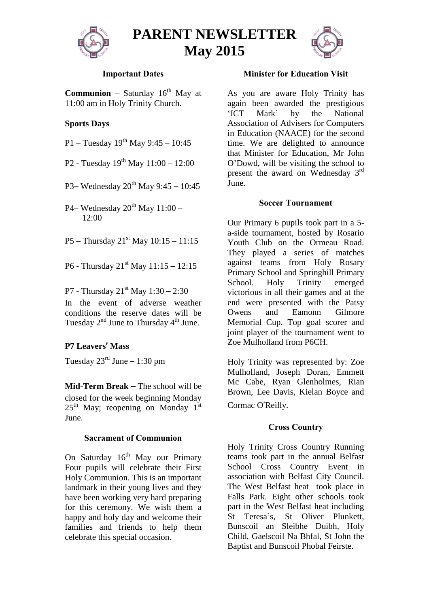

**PARENT NEWSLETTER May 2015**



### **Important Dates**

**Communion** – Saturday  $16<sup>th</sup>$  May at 11:00 am in Holy Trinity Church.

# **Sports Days**

P1 – Tuesday  $19^{th}$  May 9:45 – 10:45

P2 - Tuesday  $19^{th}$  May  $11:00 - 12:00$ 

P3– Wednesday  $20^{th}$  May 9:45 – 10:45

P4– Wednesday  $20^{th}$  May  $11:00$  – 12:00

- P5 Thursday  $21^{st}$  May  $10:15 11:15$
- P6 Thursday  $21^{st}$  May  $11:15 12:15$
- P7 Thursday  $21^{st}$  May  $1:30 2:30$

In the event of adverse weather conditions the reserve dates will be Tuesday 2<sup>nd</sup> June to Thursday 4<sup>th</sup> June.

### **P7 Leavers**' **Mass**

Tuesday  $23^{\text{rd}}$  June – 1:30 pm

**Mid-Term Break** – The school will be closed for the week beginning Monday  $25<sup>th</sup>$  May; reopening on Monday 1<sup>st</sup> June.

#### **Sacrament of Communion**

On Saturday 16<sup>th</sup> May our Primary Four pupils will celebrate their First Holy Communion. This is an important landmark in their young lives and they have been working very hard preparing for this ceremony. We wish them a happy and holy day and welcome their families and friends to help them celebrate this special occasion.

#### **Minister for Education Visit**

As you are aware Holy Trinity has again been awarded the prestigious 'ICT Mark' by the National Association of Advisers for Computers in Education (NAACE) for the second time. We are delighted to announce that Minister for Education, Mr John O'Dowd, will be visiting the school to present the award on Wednesday 3<sup>rd</sup> June.

#### **Soccer Tournament**

Our Primary 6 pupils took part in a 5 a-side tournament, hosted by Rosario Youth Club on the Ormeau Road. They played a series of matches against teams from Holy Rosary Primary School and Springhill Primary School. Holy Trinity emerged victorious in all their games and at the end were presented with the Patsy Owens and Eamonn Gilmore Memorial Cup. Top goal scorer and joint player of the tournament went to Zoe Mulholland from P6CH.

Holy Trinity was represented by: Zoe Mulholland, Joseph Doran, Emmett Mc Cabe, Ryan Glenholmes, Rian Brown, Lee Davis, Kielan Boyce and Cormac O'Reilly.

### **Cross Country**

Holy Trinity Cross Country Running teams took part in the annual Belfast School Cross Country Event in association with Belfast City Council. The West Belfast heat took place in Falls Park. Eight other schools took part in the West Belfast heat including St Teresa's, St Oliver Plunkett, Bunscoil an Sleibhe Duibh, Holy Child, Gaelscoil Na Bhfal, St John the Baptist and Bunscoil Phobal Feirste.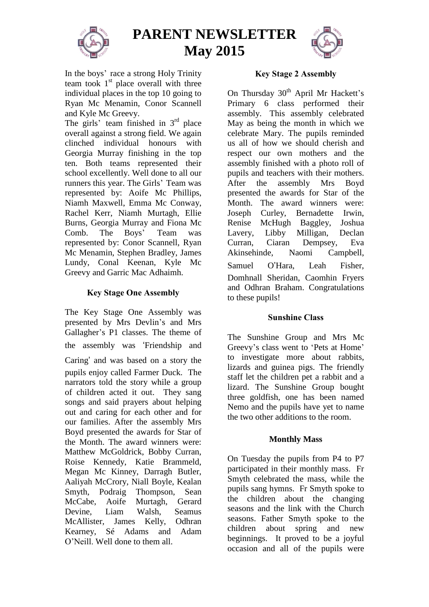

**PARENT NEWSLETTER May 2015**



In the boys' race a strong Holy Trinity team took 1<sup>st</sup> place overall with three individual places in the top 10 going to Ryan Mc Menamin, Conor Scannell and Kyle Mc Greevy.

The girls' team finished in  $3<sup>rd</sup>$  place overall against a strong field. We again clinched individual honours with Georgia Murray finishing in the top ten. Both teams represented their school excellently. Well done to all our runners this year. The Girls' Team was represented by: Aoife Mc Phillips, Niamh Maxwell, Emma Mc Conway, Rachel Kerr, Niamh Murtagh, Ellie Burns, Georgia Murray and Fiona Mc Comb. The Boys' Team was represented by: Conor Scannell, Ryan Mc Menamin, Stephen Bradley, James Lundy, Conal Keenan, Kyle Mc Greevy and Garric Mac Adhaimh.

# **Key Stage One Assembly**

The Key Stage One Assembly was presented by Mrs Devlin's and Mrs Gallagher's P1 classes. The theme of the assembly was 'Friendship and Caring' and was based on a story the pupils enjoy called Farmer Duck. The narrators told the story while a group of children acted it out. They sang songs and said prayers about helping out and caring for each other and for our families. After the assembly Mrs Boyd presented the awards for Star of the Month. The award winners were: Matthew McGoldrick, Bobby Curran, Roise Kennedy, Katie Brammeld, Megan Mc Kinney, Darragh Butler, Aaliyah McCrory, Niall Boyle, Kealan Smyth, Podraig Thompson, Sean McCabe, Aoife Murtagh, Gerard Devine, Liam Walsh, Seamus McAllister, James Kelly, Odhran Kearney, Sé Adams and Adam O'Neill. Well done to them all.

### **Key Stage 2 Assembly**

On Thursday 30<sup>th</sup> April Mr Hackett's Primary 6 class performed their assembly. This assembly celebrated May as being the month in which we celebrate Mary. The pupils reminded us all of how we should cherish and respect our own mothers and the assembly finished with a photo roll of pupils and teachers with their mothers. After the assembly Mrs Boyd presented the awards for Star of the Month. The award winners were: Joseph Curley, Bernadette Irwin, Renise McHugh Baggley, Joshua Lavery, Libby Milligan, Declan Curran, Ciaran Dempsey, Eva Akinsehinde, Naomi Campbell, Samuel O'Hara, Leah Fisher, Domhnall Sheridan, Caomhin Fryers and Odhran Braham. Congratulations to these pupils!

### **Sunshine Class**

The Sunshine Group and Mrs Mc Greevy's class went to 'Pets at Home' to investigate more about rabbits, lizards and guinea pigs. The friendly staff let the children pet a rabbit and a lizard. The Sunshine Group bought three goldfish, one has been named Nemo and the pupils have yet to name the two other additions to the room.

# **Monthly Mass**

On Tuesday the pupils from P4 to P7 participated in their monthly mass. Fr Smyth celebrated the mass, while the pupils sang hymns. Fr Smyth spoke to the children about the changing seasons and the link with the Church seasons. Father Smyth spoke to the children about spring and new beginnings. It proved to be a joyful occasion and all of the pupils were